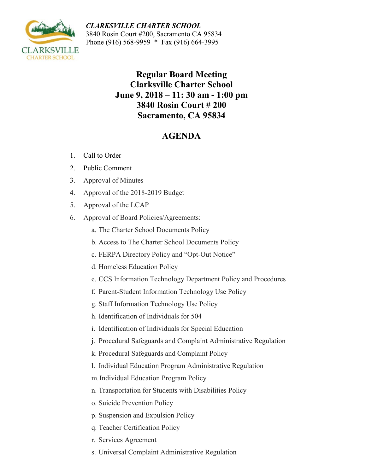ARKSVII **CHARTER SCHOOL** 

*CLARKSVILLE CHARTER SCHOOL* 3840 Rosin Court #200, Sacramento CA 95834 Phone (916) 568-9959 \* Fax (916) 664-3995

> **Regular Board Meeting Clarksville Charter School June 9, 2018 – 11: 30 am - 1:00 pm 3840 Rosin Court # 200 Sacramento, CA 95834**

## **AGENDA**

- 1. Call to Order
- 2. Public Comment
- 3. Approval of Minutes
- 4. Approval of the 2018-2019 Budget
- 5. Approval of the LCAP
- 6. Approval of Board Policies/Agreements:
	- a. The Charter School Documents Policy
	- b. Access to The Charter School Documents Policy
	- c. FERPA Directory Policy and "Opt-Out Notice"
	- d. Homeless Education Policy
	- e. CCS Information Technology Department Policy and Procedures
	- f. Parent-Student Information Technology Use Policy
	- g. Staff Information Technology Use Policy
	- h. Identification of Individuals for 504
	- i. Identification of Individuals for Special Education
	- j. Procedural Safeguards and Complaint Administrative Regulation
	- k. Procedural Safeguards and Complaint Policy
	- l. Individual Education Program Administrative Regulation
	- m.Individual Education Program Policy
	- n. Transportation for Students with Disabilities Policy
	- o. Suicide Prevention Policy
	- p. Suspension and Expulsion Policy
	- q. Teacher Certification Policy
	- r. Services Agreement
	- s. Universal Complaint Administrative Regulation